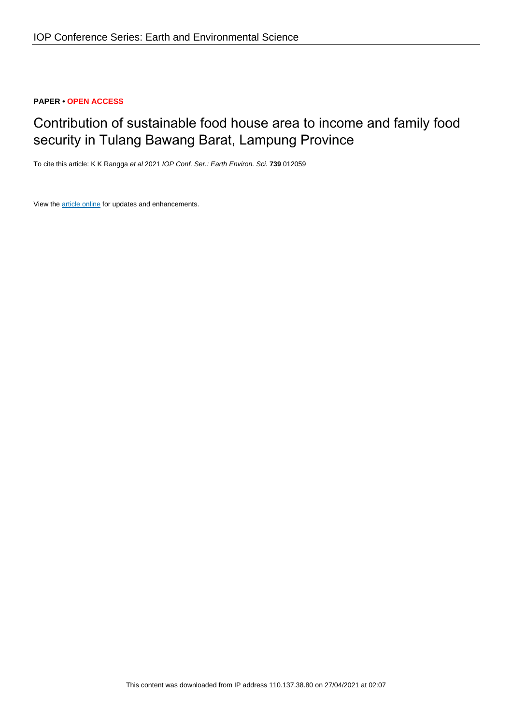# **PAPER • OPEN ACCESS**

# Contribution of sustainable food house area to income and family food security in Tulang Bawang Barat, Lampung Province

To cite this article: K K Rangga et al 2021 IOP Conf. Ser.: Earth Environ. Sci. **739** 012059

View the [article online](https://doi.org/10.1088/1755-1315/739/1/012059) for updates and enhancements.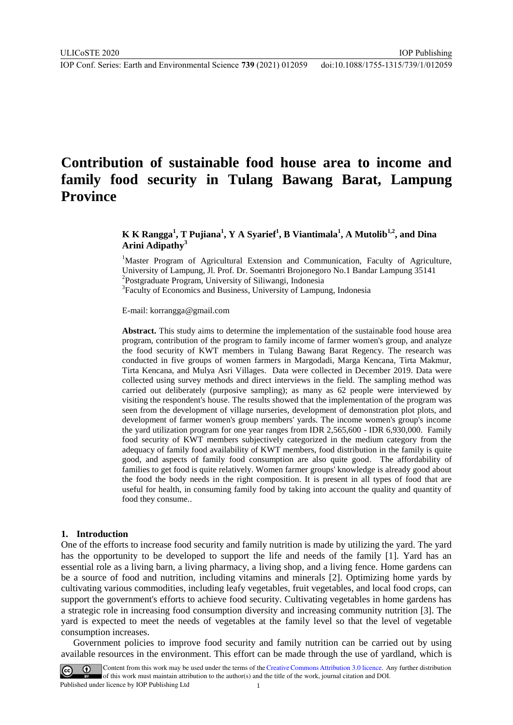# **Contribution of sustainable food house area to income and family food security in Tulang Bawang Barat, Lampung Province**

# **K K Rangga<sup>1</sup> , T Pujiana<sup>1</sup> , Y A Syarief<sup>1</sup> , B Viantimala<sup>1</sup> , A Mutolib1,2 , and Dina Arini Adipathy<sup>3</sup>**

<sup>1</sup>Master Program of Agricultural Extension and Communication, Faculty of Agriculture, University of Lampung, Jl. Prof. Dr. Soemantri Brojonegoro No.1 Bandar Lampung 35141 2 Postgraduate Program, University of Siliwangi, Indonesia <sup>3</sup>Faculty of Economics and Business, University of Lampung, Indonesia

E-mail: korrangga@gmail.com

**Abstract.** This study aims to determine the implementation of the sustainable food house area program, contribution of the program to family income of farmer women's group, and analyze the food security of KWT members in Tulang Bawang Barat Regency. The research was conducted in five groups of women farmers in Margodadi, Marga Kencana, Tirta Makmur, Tirta Kencana, and Mulya Asri Villages. Data were collected in December 2019. Data were collected using survey methods and direct interviews in the field. The sampling method was carried out deliberately (purposive sampling); as many as 62 people were interviewed by visiting the respondent's house. The results showed that the implementation of the program was seen from the development of village nurseries, development of demonstration plot plots, and development of farmer women's group members' yards. The income women's group's income the yard utilization program for one year ranges from IDR 2,565,600 - IDR 6,930,000. Family food security of KWT members subjectively categorized in the medium category from the adequacy of family food availability of KWT members, food distribution in the family is quite good, and aspects of family food consumption are also quite good. The affordability of families to get food is quite relatively. Women farmer groups' knowledge is already good about the food the body needs in the right composition. It is present in all types of food that are useful for health, in consuming family food by taking into account the quality and quantity of food they consume..

#### **1. Introduction**

One of the efforts to increase food security and family nutrition is made by utilizing the yard. The yard has the opportunity to be developed to support the life and needs of the family [1]. Yard has an essential role as a living barn, a living pharmacy, a living shop, and a living fence. Home gardens can be a source of food and nutrition, including vitamins and minerals [2]. Optimizing home yards by cultivating various commodities, including leafy vegetables, fruit vegetables, and local food crops, can support the government's efforts to achieve food security. Cultivating vegetables in home gardens has a strategic role in increasing food consumption diversity and increasing community nutrition [3]. The yard is expected to meet the needs of vegetables at the family level so that the level of vegetable consumption increases.

Government policies to improve food security and family nutrition can be carried out by using available resources in the environment. This effort can be made through the use of yardland, which is

Content from this work may be used under the terms of the Creative Commons Attribution 3.0 licence. Any further distribution of this work must maintain attribution to the author(s) and the title of the work, journal citation and DOI. Published under licence by IOP Publishing Ltd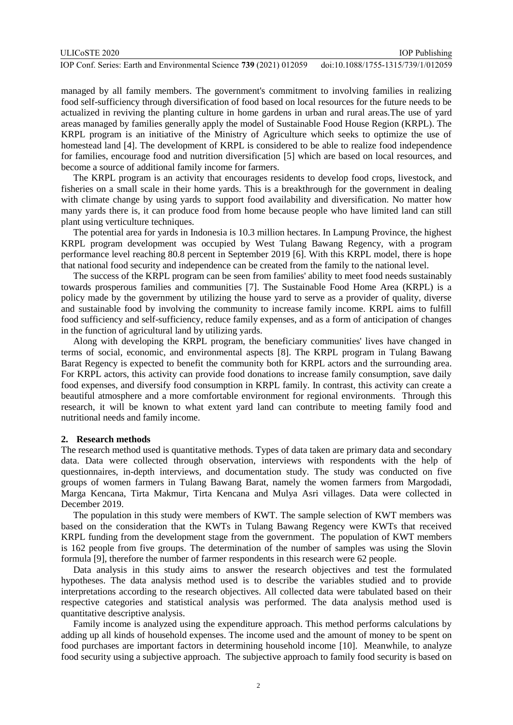| ULICoSTE 2020                                                       | <b>IOP</b> Publishing              |
|---------------------------------------------------------------------|------------------------------------|
| IOP Conf. Series: Earth and Environmental Science 739 (2021) 012059 | doi:10.1088/1755-1315/739/1/012059 |

managed by all family members. The government's commitment to involving families in realizing food self-sufficiency through diversification of food based on local resources for the future needs to be actualized in reviving the planting culture in home gardens in urban and rural areas.The use of yard areas managed by families generally apply the model of Sustainable Food House Region (KRPL). The KRPL program is an initiative of the Ministry of Agriculture which seeks to optimize the use of homestead land [4]. The development of KRPL is considered to be able to realize food independence for families, encourage food and nutrition diversification [5] which are based on local resources, and become a source of additional family income for farmers.

The KRPL program is an activity that encourages residents to develop food crops, livestock, and fisheries on a small scale in their home yards. This is a breakthrough for the government in dealing with climate change by using yards to support food availability and diversification. No matter how many yards there is, it can produce food from home because people who have limited land can still plant using verticulture techniques.

The potential area for yards in Indonesia is 10.3 million hectares. In Lampung Province, the highest KRPL program development was occupied by West Tulang Bawang Regency, with a program performance level reaching 80.8 percent in September 2019 [6]. With this KRPL model, there is hope that national food security and independence can be created from the family to the national level.

The success of the KRPL program can be seen from families' ability to meet food needs sustainably towards prosperous families and communities [7]. The Sustainable Food Home Area (KRPL) is a policy made by the government by utilizing the house yard to serve as a provider of quality, diverse and sustainable food by involving the community to increase family income. KRPL aims to fulfill food sufficiency and self-sufficiency, reduce family expenses, and as a form of anticipation of changes in the function of agricultural land by utilizing yards.

Along with developing the KRPL program, the beneficiary communities' lives have changed in terms of social, economic, and environmental aspects [8]. The KRPL program in Tulang Bawang Barat Regency is expected to benefit the community both for KRPL actors and the surrounding area. For KRPL actors, this activity can provide food donations to increase family consumption, save daily food expenses, and diversify food consumption in KRPL family. In contrast, this activity can create a beautiful atmosphere and a more comfortable environment for regional environments. Through this research, it will be known to what extent yard land can contribute to meeting family food and nutritional needs and family income.

### **2. Research methods**

The research method used is quantitative methods. Types of data taken are primary data and secondary data. Data were collected through observation, interviews with respondents with the help of questionnaires, in-depth interviews, and documentation study. The study was conducted on five groups of women farmers in Tulang Bawang Barat, namely the women farmers from Margodadi, Marga Kencana, Tirta Makmur, Tirta Kencana and Mulya Asri villages. Data were collected in December 2019.

The population in this study were members of KWT. The sample selection of KWT members was based on the consideration that the KWTs in Tulang Bawang Regency were KWTs that received KRPL funding from the development stage from the government. The population of KWT members is 162 people from five groups. The determination of the number of samples was using the Slovin formula [9], therefore the number of farmer respondents in this research were 62 people.

Data analysis in this study aims to answer the research objectives and test the formulated hypotheses. The data analysis method used is to describe the variables studied and to provide interpretations according to the research objectives. All collected data were tabulated based on their respective categories and statistical analysis was performed. The data analysis method used is quantitative descriptive analysis.

Family income is analyzed using the expenditure approach. This method performs calculations by adding up all kinds of household expenses. The income used and the amount of money to be spent on food purchases are important factors in determining household income [10]. Meanwhile, to analyze food security using a subjective approach. The subjective approach to family food security is based on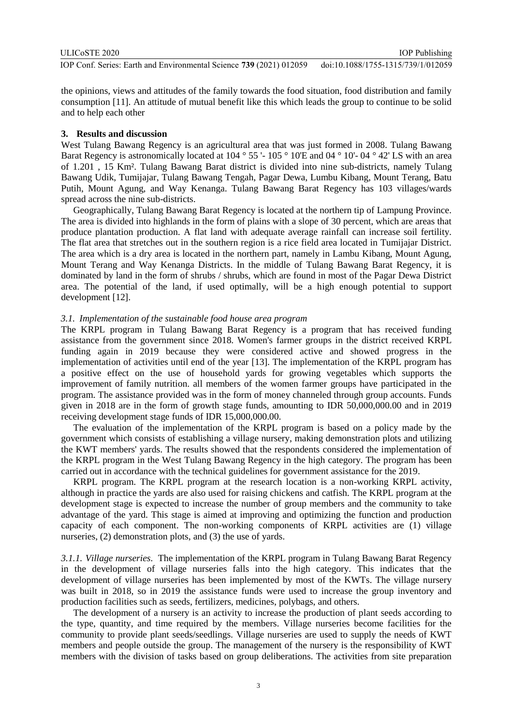ULICoSTE 2020

IOP Publishing

IOP Conf. Series: Earth and Environmental Science **739** (2021) 012059 doi:10.1088/1755-1315/739/1/012059

the opinions, views and attitudes of the family towards the food situation, food distribution and family consumption [11]. An attitude of mutual benefit like this which leads the group to continue to be solid and to help each other

### **3. Results and discussion**

West Tulang Bawang Regency is an agricultural area that was just formed in 2008. Tulang Bawang Barat Regency is astronomically located at 104 ° 55 '- 105 ° 10'E and 04 ° 10'- 04 ° 42' LS with an area of 1.201 , 15 Km². Tulang Bawang Barat district is divided into nine sub-districts, namely Tulang Bawang Udik, Tumijajar, Tulang Bawang Tengah, Pagar Dewa, Lumbu Kibang, Mount Terang, Batu Putih, Mount Agung, and Way Kenanga. Tulang Bawang Barat Regency has 103 villages/wards spread across the nine sub-districts.

Geographically, Tulang Bawang Barat Regency is located at the northern tip of Lampung Province. The area is divided into highlands in the form of plains with a slope of 30 percent, which are areas that produce plantation production. A flat land with adequate average rainfall can increase soil fertility. The flat area that stretches out in the southern region is a rice field area located in Tumijajar District. The area which is a dry area is located in the northern part, namely in Lambu Kibang, Mount Agung, Mount Terang and Way Kenanga Districts. In the middle of Tulang Bawang Barat Regency, it is dominated by land in the form of shrubs / shrubs, which are found in most of the Pagar Dewa District area. The potential of the land, if used optimally, will be a high enough potential to support development [12].

#### *3.1. Implementation of the sustainable food house area program*

The KRPL program in Tulang Bawang Barat Regency is a program that has received funding assistance from the government since 2018. Women's farmer groups in the district received KRPL funding again in 2019 because they were considered active and showed progress in the implementation of activities until end of the year [13]. The implementation of the KRPL program has a positive effect on the use of household yards for growing vegetables which supports the improvement of family nutrition. all members of the women farmer groups have participated in the program. The assistance provided was in the form of money channeled through group accounts. Funds given in 2018 are in the form of growth stage funds, amounting to IDR 50,000,000.00 and in 2019 receiving development stage funds of IDR 15,000,000.00.

The evaluation of the implementation of the KRPL program is based on a policy made by the government which consists of establishing a village nursery, making demonstration plots and utilizing the KWT members' yards. The results showed that the respondents considered the implementation of the KRPL program in the West Tulang Bawang Regency in the high category. The program has been carried out in accordance with the technical guidelines for government assistance for the 2019.

KRPL program. The KRPL program at the research location is a non-working KRPL activity, although in practice the yards are also used for raising chickens and catfish. The KRPL program at the development stage is expected to increase the number of group members and the community to take advantage of the yard. This stage is aimed at improving and optimizing the function and production capacity of each component. The non-working components of KRPL activities are (1) village nurseries, (2) demonstration plots, and (3) the use of yards.

*3.1.1. Village nurseries.* The implementation of the KRPL program in Tulang Bawang Barat Regency in the development of village nurseries falls into the high category. This indicates that the development of village nurseries has been implemented by most of the KWTs. The village nursery was built in 2018, so in 2019 the assistance funds were used to increase the group inventory and production facilities such as seeds, fertilizers, medicines, polybags, and others.

The development of a nursery is an activity to increase the production of plant seeds according to the type, quantity, and time required by the members. Village nurseries become facilities for the community to provide plant seeds/seedlings. Village nurseries are used to supply the needs of KWT members and people outside the group. The management of the nursery is the responsibility of KWT members with the division of tasks based on group deliberations. The activities from site preparation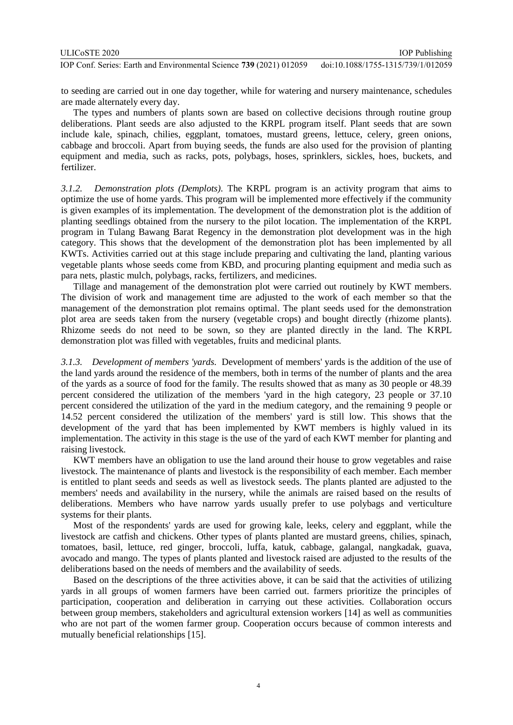to seeding are carried out in one day together, while for watering and nursery maintenance, schedules are made alternately every day.

The types and numbers of plants sown are based on collective decisions through routine group deliberations. Plant seeds are also adjusted to the KRPL program itself. Plant seeds that are sown include kale, spinach, chilies, eggplant, tomatoes, mustard greens, lettuce, celery, green onions, cabbage and broccoli. Apart from buying seeds, the funds are also used for the provision of planting equipment and media, such as racks, pots, polybags, hoses, sprinklers, sickles, hoes, buckets, and fertilizer.

*3.1.2. Demonstration plots (Demplots).* The KRPL program is an activity program that aims to optimize the use of home yards. This program will be implemented more effectively if the community is given examples of its implementation. The development of the demonstration plot is the addition of planting seedlings obtained from the nursery to the pilot location. The implementation of the KRPL program in Tulang Bawang Barat Regency in the demonstration plot development was in the high category. This shows that the development of the demonstration plot has been implemented by all KWTs. Activities carried out at this stage include preparing and cultivating the land, planting various vegetable plants whose seeds come from KBD, and procuring planting equipment and media such as para nets, plastic mulch, polybags, racks, fertilizers, and medicines.

Tillage and management of the demonstration plot were carried out routinely by KWT members. The division of work and management time are adjusted to the work of each member so that the management of the demonstration plot remains optimal. The plant seeds used for the demonstration plot area are seeds taken from the nursery (vegetable crops) and bought directly (rhizome plants). Rhizome seeds do not need to be sown, so they are planted directly in the land. The KRPL demonstration plot was filled with vegetables, fruits and medicinal plants.

*3.1.3. Development of members 'yards.* Development of members' yards is the addition of the use of the land yards around the residence of the members, both in terms of the number of plants and the area of the yards as a source of food for the family. The results showed that as many as 30 people or 48.39 percent considered the utilization of the members 'yard in the high category, 23 people or 37.10 percent considered the utilization of the yard in the medium category, and the remaining 9 people or 14.52 percent considered the utilization of the members' yard is still low. This shows that the development of the yard that has been implemented by KWT members is highly valued in its implementation. The activity in this stage is the use of the yard of each KWT member for planting and raising livestock.

KWT members have an obligation to use the land around their house to grow vegetables and raise livestock. The maintenance of plants and livestock is the responsibility of each member. Each member is entitled to plant seeds and seeds as well as livestock seeds. The plants planted are adjusted to the members' needs and availability in the nursery, while the animals are raised based on the results of deliberations. Members who have narrow yards usually prefer to use polybags and verticulture systems for their plants.

Most of the respondents' yards are used for growing kale, leeks, celery and eggplant, while the livestock are catfish and chickens. Other types of plants planted are mustard greens, chilies, spinach, tomatoes, basil, lettuce, red ginger, broccoli, luffa, katuk, cabbage, galangal, nangkadak, guava, avocado and mango. The types of plants planted and livestock raised are adjusted to the results of the deliberations based on the needs of members and the availability of seeds.

Based on the descriptions of the three activities above, it can be said that the activities of utilizing yards in all groups of women farmers have been carried out. farmers prioritize the principles of participation, cooperation and deliberation in carrying out these activities. Collaboration occurs between group members, stakeholders and agricultural extension workers [14] as well as communities who are not part of the women farmer group. Cooperation occurs because of common interests and mutually beneficial relationships [15].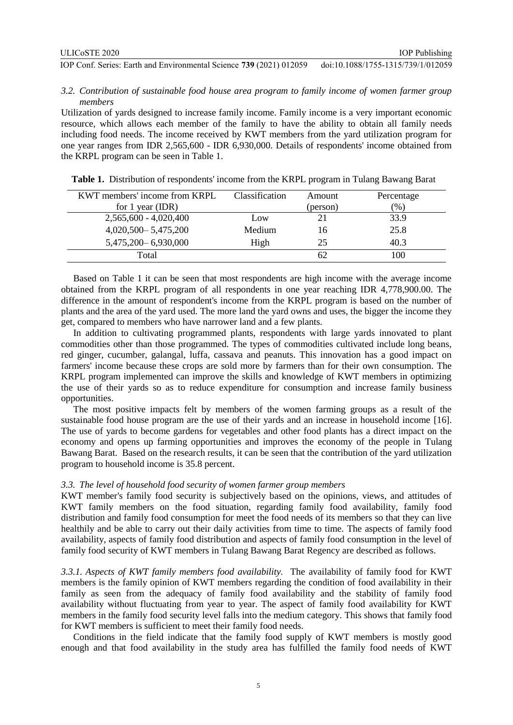## *3.2. Contribution of sustainable food house area program to family income of women farmer group members*

Utilization of yards designed to increase family income. Family income is a very important economic resource, which allows each member of the family to have the ability to obtain all family needs including food needs. The income received by KWT members from the yard utilization program for one year ranges from IDR 2,565,600 - IDR 6,930,000. Details of respondents' income obtained from the KRPL program can be seen in Table 1.

| KWT members' income from KRPL | <b>Classification</b> | Amount   | Percentage |
|-------------------------------|-----------------------|----------|------------|
| for $1$ year (IDR)            |                       | (person) | (% )       |
| $2,565,600 - 4,020,400$       | Low                   | 21       | 33.9       |
| $4,020,500 - 5,475,200$       | Medium                | 16       | 25.8       |
| 5,475,200 - 6,930,000         | High                  | 25       | 40.3       |
| Total                         |                       | 62       | .00        |

**Table 1.** Distribution of respondents' income from the KRPL program in Tulang Bawang Barat

Based on Table 1 it can be seen that most respondents are high income with the average income obtained from the KRPL program of all respondents in one year reaching IDR 4,778,900.00. The difference in the amount of respondent's income from the KRPL program is based on the number of plants and the area of the yard used. The more land the yard owns and uses, the bigger the income they get, compared to members who have narrower land and a few plants.

In addition to cultivating programmed plants, respondents with large yards innovated to plant commodities other than those programmed. The types of commodities cultivated include long beans, red ginger, cucumber, galangal, luffa, cassava and peanuts. This innovation has a good impact on farmers' income because these crops are sold more by farmers than for their own consumption. The KRPL program implemented can improve the skills and knowledge of KWT members in optimizing the use of their yards so as to reduce expenditure for consumption and increase family business opportunities.

The most positive impacts felt by members of the women farming groups as a result of the sustainable food house program are the use of their yards and an increase in household income [16]. The use of yards to become gardens for vegetables and other food plants has a direct impact on the economy and opens up farming opportunities and improves the economy of the people in Tulang Bawang Barat. Based on the research results, it can be seen that the contribution of the yard utilization program to household income is 35.8 percent.

### *3.3. The level of household food security of women farmer group members*

KWT member's family food security is subjectively based on the opinions, views, and attitudes of KWT family members on the food situation, regarding family food availability, family food distribution and family food consumption for meet the food needs of its members so that they can live healthily and be able to carry out their daily activities from time to time. The aspects of family food availability, aspects of family food distribution and aspects of family food consumption in the level of family food security of KWT members in Tulang Bawang Barat Regency are described as follows.

*3.3.1. Aspects of KWT family members food availability.* The availability of family food for KWT members is the family opinion of KWT members regarding the condition of food availability in their family as seen from the adequacy of family food availability and the stability of family food availability without fluctuating from year to year. The aspect of family food availability for KWT members in the family food security level falls into the medium category. This shows that family food for KWT members is sufficient to meet their family food needs.

Conditions in the field indicate that the family food supply of KWT members is mostly good enough and that food availability in the study area has fulfilled the family food needs of KWT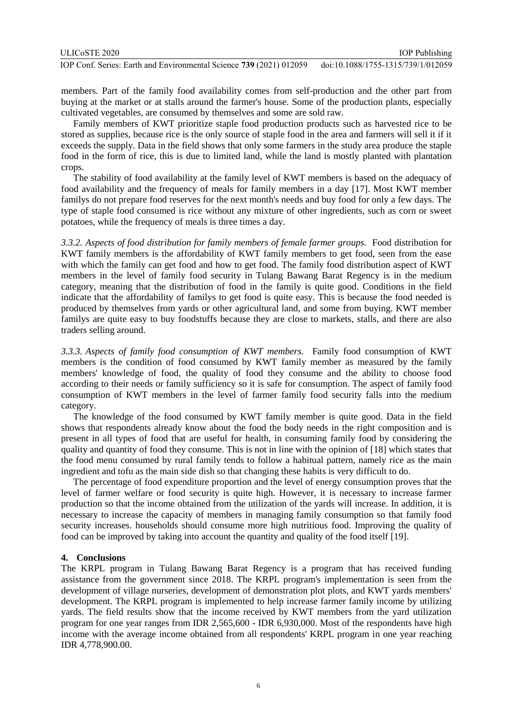| ULICoSTE 2020                                                       | <b>IOP</b> Publishing              |
|---------------------------------------------------------------------|------------------------------------|
| IOP Conf. Series: Earth and Environmental Science 739 (2021) 012059 | doi:10.1088/1755-1315/739/1/012059 |

members. Part of the family food availability comes from self-production and the other part from buying at the market or at stalls around the farmer's house. Some of the production plants, especially cultivated vegetables, are consumed by themselves and some are sold raw.

Family members of KWT prioritize staple food production products such as harvested rice to be stored as supplies, because rice is the only source of staple food in the area and farmers will sell it if it exceeds the supply. Data in the field shows that only some farmers in the study area produce the staple food in the form of rice, this is due to limited land, while the land is mostly planted with plantation crops.

The stability of food availability at the family level of KWT members is based on the adequacy of food availability and the frequency of meals for family members in a day [17]. Most KWT member familys do not prepare food reserves for the next month's needs and buy food for only a few days. The type of staple food consumed is rice without any mixture of other ingredients, such as corn or sweet potatoes, while the frequency of meals is three times a day.

*3.3.2. Aspects of food distribution for family members of female farmer groups.* Food distribution for KWT family members is the affordability of KWT family members to get food, seen from the ease with which the family can get food and how to get food. The family food distribution aspect of KWT members in the level of family food security in Tulang Bawang Barat Regency is in the medium category, meaning that the distribution of food in the family is quite good. Conditions in the field indicate that the affordability of familys to get food is quite easy. This is because the food needed is produced by themselves from yards or other agricultural land, and some from buying. KWT member familys are quite easy to buy foodstuffs because they are close to markets, stalls, and there are also traders selling around.

*3.3.3. Aspects of family food consumption of KWT members.* Family food consumption of KWT members is the condition of food consumed by KWT family member as measured by the family members' knowledge of food, the quality of food they consume and the ability to choose food according to their needs or family sufficiency so it is safe for consumption. The aspect of family food consumption of KWT members in the level of farmer family food security falls into the medium category.

The knowledge of the food consumed by KWT family member is quite good. Data in the field shows that respondents already know about the food the body needs in the right composition and is present in all types of food that are useful for health, in consuming family food by considering the quality and quantity of food they consume. This is not in line with the opinion of [18] which states that the food menu consumed by rural family tends to follow a habitual pattern, namely rice as the main ingredient and tofu as the main side dish so that changing these habits is very difficult to do.

The percentage of food expenditure proportion and the level of energy consumption proves that the level of farmer welfare or food security is quite high. However, it is necessary to increase farmer production so that the income obtained from the utilization of the yards will increase. In addition, it is necessary to increase the capacity of members in managing family consumption so that family food security increases. households should consume more high nutritious food. Improving the quality of food can be improved by taking into account the quantity and quality of the food itself [19].

# **4. Conclusions**

The KRPL program in Tulang Bawang Barat Regency is a program that has received funding assistance from the government since 2018. The KRPL program's implementation is seen from the development of village nurseries, development of demonstration plot plots, and KWT yards members' development. The KRPL program is implemented to help increase farmer family income by utilizing yards. The field results show that the income received by KWT members from the yard utilization program for one year ranges from IDR 2,565,600 - IDR 6,930,000. Most of the respondents have high income with the average income obtained from all respondents' KRPL program in one year reaching IDR 4,778,900.00.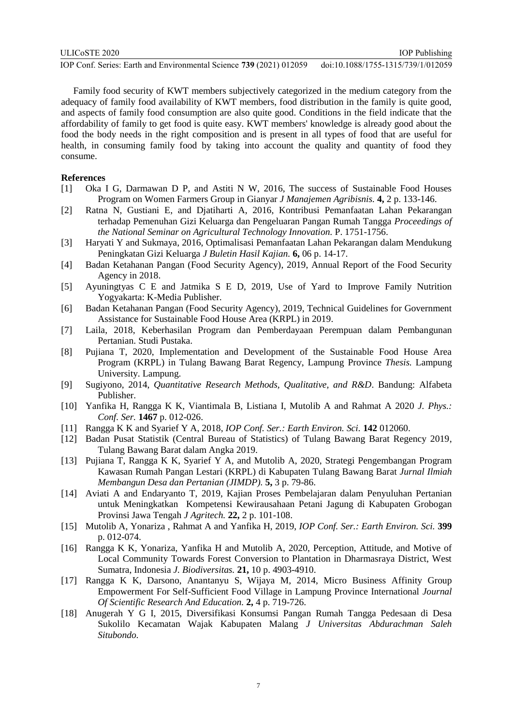Family food security of KWT members subjectively categorized in the medium category from the adequacy of family food availability of KWT members, food distribution in the family is quite good, and aspects of family food consumption are also quite good. Conditions in the field indicate that the affordability of family to get food is quite easy. KWT members' knowledge is already good about the food the body needs in the right composition and is present in all types of food that are useful for health, in consuming family food by taking into account the quality and quantity of food they consume.

#### **References**

- [1] Oka I G, Darmawan D P, and Astiti N W, 2016, The success of Sustainable Food Houses Program on Women Farmers Group in Gianyar *J Manajemen Agribisnis.* **4,** 2 p. 133-146.
- [2] Ratna N, Gustiani E, and Djatiharti A, 2016, Kontribusi Pemanfaatan Lahan Pekarangan terhadap Pemenuhan Gizi Keluarga dan Pengeluaran Pangan Rumah Tangga *Proceedings of the National Seminar on Agricultural Technology Innovation.* P. 1751-1756.
- [3] Haryati Y and Sukmaya, 2016, Optimalisasi Pemanfaatan Lahan Pekarangan dalam Mendukung Peningkatan Gizi Keluarga *J Buletin Hasil Kajian.* **6,** 06 p. 14-17.
- [4] Badan Ketahanan Pangan (Food Security Agency), 2019, Annual Report of the Food Security Agency in 2018.
- [5] Ayuningtyas C E and Jatmika S E D, 2019, Use of Yard to Improve Family Nutrition Yogyakarta: K-Media Publisher.
- [6] Badan Ketahanan Pangan (Food Security Agency), 2019, Technical Guidelines for Government Assistance for Sustainable Food House Area (KRPL) in 2019.
- [7] Laila, 2018, Keberhasilan Program dan Pemberdayaan Perempuan dalam Pembangunan Pertanian. Studi Pustaka.
- [8] Pujiana T, 2020, Implementation and Development of the Sustainable Food House Area Program (KRPL) in Tulang Bawang Barat Regency, Lampung Province *Thesis.* Lampung University. Lampung.
- [9] Sugiyono, 2014, *Quantitative Research Methods, Qualitative, and R&D*. Bandung: Alfabeta Publisher.
- [10] Yanfika H, Rangga K K, Viantimala B, Listiana I, Mutolib A and Rahmat A 2020 *J. Phys.: Conf. Ser.* **1467** p. 012-026.
- [11] Rangga K K and Syarief Y A, 2018, *IOP Conf. Ser.: Earth Environ. Sci.* **142** 012060.
- [12] Badan Pusat Statistik (Central Bureau of Statistics) of Tulang Bawang Barat Regency 2019, Tulang Bawang Barat dalam Angka 2019.
- [13] Pujiana T, Rangga K K, Syarief Y A, and Mutolib A, 2020, Strategi Pengembangan Program Kawasan Rumah Pangan Lestari (KRPL) di Kabupaten Tulang Bawang Barat *Jurnal Ilmiah Membangun Desa dan Pertanian (JIMDP).* **5,** 3 p. 79-86.
- [14] Aviati A and Endaryanto T, 2019, Kajian Proses Pembelajaran dalam Penyuluhan Pertanian untuk Meningkatkan Kompetensi Kewirausahaan Petani Jagung di Kabupaten Grobogan Provinsi Jawa Tengah *J Agritech.* **22,** 2 p. 101-108.
- [15] Mutolib A, Yonariza , Rahmat A and Yanfika H, 2019, *IOP Conf. Ser.: Earth Environ. Sci.* **399** p. 012-074.
- [16] Rangga K K, Yonariza, Yanfika H and Mutolib A, 2020, Perception, Attitude, and Motive of Local Community Towards Forest Conversion to Plantation in Dharmasraya District, West Sumatra, Indonesia *J. Biodiversitas.* **21,** 10 p. 4903-4910.
- [17] Rangga K K, Darsono, Anantanyu S, Wijaya M, 2014, Micro Business Affinity Group Empowerment For Self-Sufficient Food Village in Lampung Province International *Journal Of Scientific Research And Education.* **2,** 4 p. 719-726.
- [18] Anugerah Y G I, 2015, Diversifikasi Konsumsi Pangan Rumah Tangga Pedesaan di Desa Sukolilo Kecamatan Wajak Kabupaten Malang *J Universitas Abdurachman Saleh Situbondo.*